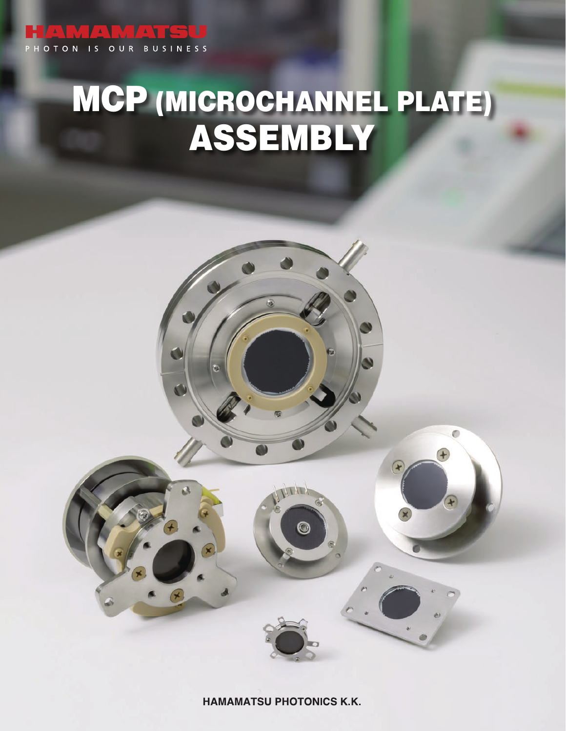# PHOTON IS OUR BUSINESS

# MCP (MICROCHANNEL PLATE) ASSEMBLY

**HAMAMATSU PHOTONICS K.K.** 

 $\odot$ 

 $\bullet$ 

 $\mathbf{r}$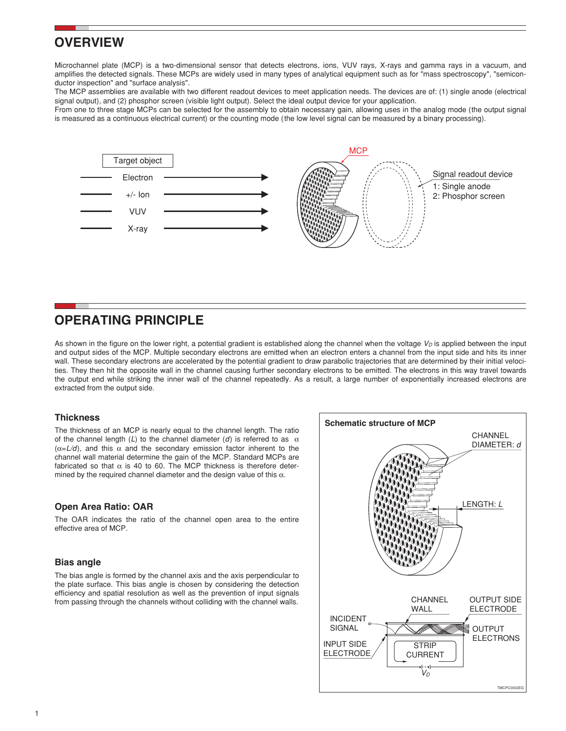## **OVERVIEW**

Microchannel plate (MCP) is a two-dimensional sensor that detects electrons, ions, VUV rays, X-rays and gamma rays in a vacuum, and amplifies the detected signals. These MCPs are widely used in many types of analytical equipment such as for "mass spectroscopy", "semiconductor inspection" and "surface analysis".

The MCP assemblies are available with two different readout devices to meet application needs. The devices are of: (1) single anode (electrical signal output), and (2) phosphor screen (visible light output). Select the ideal output device for your application.

From one to three stage MCPs can be selected for the assembly to obtain necessary gain, allowing uses in the analog mode (the output signal is measured as a continuous electrical current) or the counting mode (the low level signal can be measured by a binary processing).



## **OPERATING PRINCIPLE**

As shown in the figure on the lower right, a potential gradient is established along the channel when the voltage  $V<sub>D</sub>$  is applied between the input and output sides of the MCP. Multiple secondary electrons are emitted when an electron enters a channel from the input side and hits its inner wall. These secondary electrons are accelerated by the potential gradient to draw parabolic trajectories that are determined by their initial velocities. They then hit the opposite wall in the channel causing further secondary electrons to be emitted. The electrons in this way travel towards the output end while striking the inner wall of the channel repeatedly. As a result, a large number of exponentially increased electrons are extracted from the output side.

#### **Thickness**

The thickness of an MCP is nearly equal to the channel length. The ratio of the channel length  $(L)$  to the channel diameter  $(d)$  is referred to as  $\alpha$  $(\alpha = L/d)$ , and this  $\alpha$  and the secondary emission factor inherent to the channel wall material determine the gain of the MCP. Standard MCPs are fabricated so that  $\alpha$  is 40 to 60. The MCP thickness is therefore determined by the required channel diameter and the design value of this  $\alpha$ .

#### **Open Area Ratio: OAR**

The OAR indicates the ratio of the channel open area to the entire effective area of MCP.

#### **Bias angle**

The bias angle is formed by the channel axis and the axis perpendicular to the plate surface. This bias angle is chosen by considering the detection efficiency and spatial resolution as well as the prevention of input signals from passing through the channels without colliding with the channel walls.

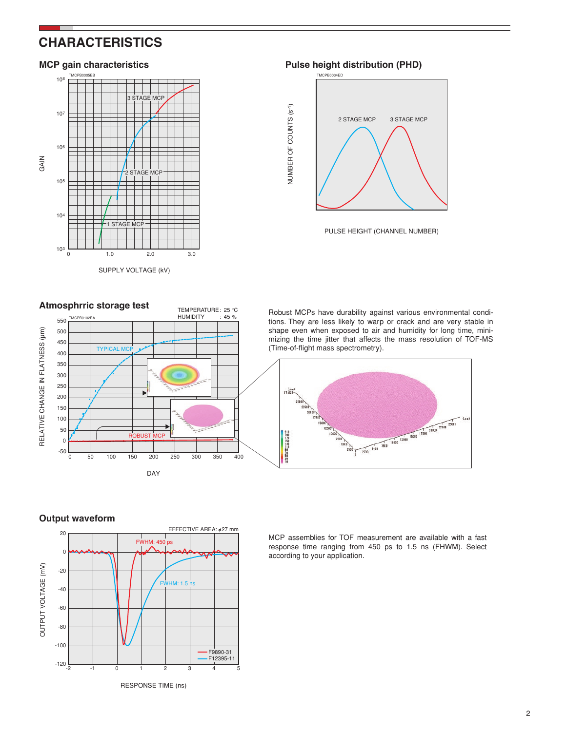## **CHARACTERISTICS**



**MCP** gain characteristics **Pulse height distribution (PHD)** 



PULSE HEIGHT (CHANNEL NUMBER)



Robust MCPs have durability against various environmental conditions. They are less likely to warp or crack and are very stable in shape even when exposed to air and humidity for long time, minimizing the time jitter that affects the mass resolution of TOF-MS (Time-of-flight mass spectrometry).



### **Output waveform**



MCP assemblies for TOF measurement are available with a fast response time ranging from 450 ps to 1.5 ns (FHWM). Select according to your application.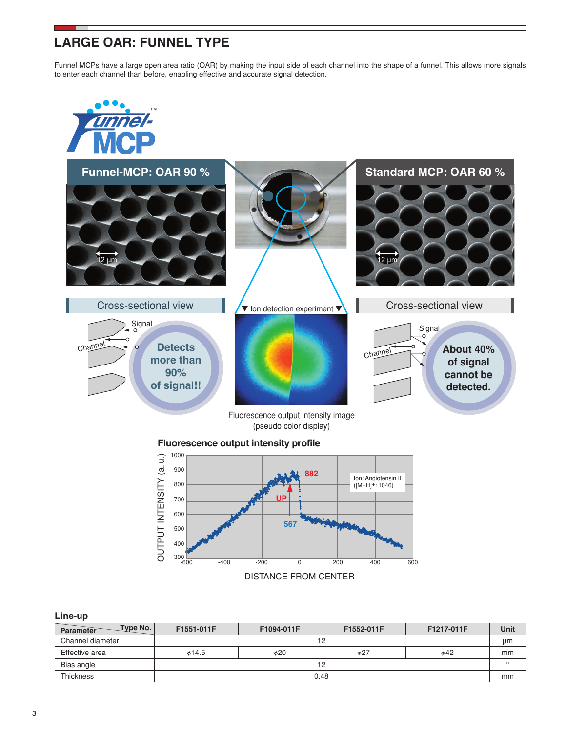## **LARGE OAR: FUNNEL TYPE**

Funnel MCPs have a large open area ratio (OAR) by making the input side of each channel into the shape of a funnel. This allows more signals to enter each channel than before, enabling effective and accurate signal detection.



Fluorescence output intensity image (pseudo color display)

#### **Fluorescence output intensity profile**



#### **Line-up**

| Type No.<br>Parameter | F1551-011F  | F1094-011F | F1552-011F | F1217-011F | <b>Unit</b> |  |  |  |  |
|-----------------------|-------------|------------|------------|------------|-------------|--|--|--|--|
| Channel diameter      |             |            | 12         |            | μm          |  |  |  |  |
| Effective area        | $\phi$ 14.5 | <b>¢20</b> | $\phi$ 27  | $\phi$ 42  | mm          |  |  |  |  |
| Bias angle            |             | 12         |            |            |             |  |  |  |  |
| <b>Thickness</b>      |             | 0.48       |            |            |             |  |  |  |  |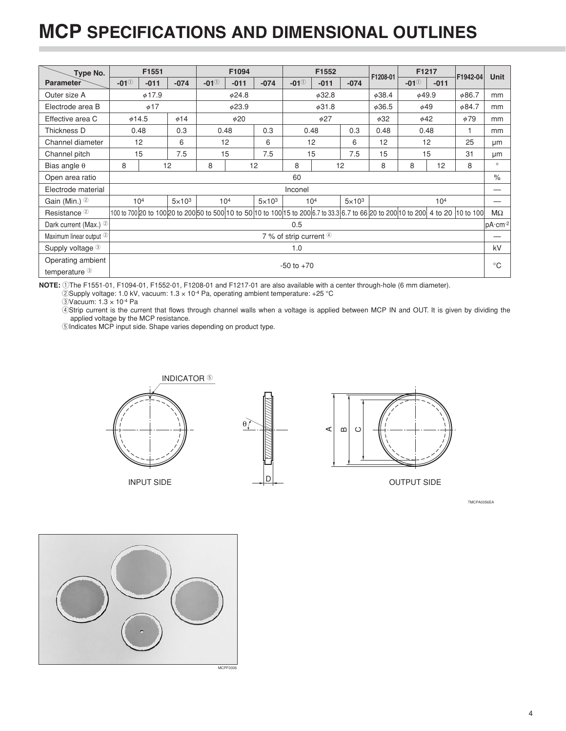## **MCP SPECIFICATIONS AND DIMENSIONAL OUTLINES**

| Type No.                    |                    | F1551                                                                                     |               |                                                                                                                                   | F1094  |               |                | F1552           |               |          | F1217       |                 |          |             |
|-----------------------------|--------------------|-------------------------------------------------------------------------------------------|---------------|-----------------------------------------------------------------------------------------------------------------------------------|--------|---------------|----------------|-----------------|---------------|----------|-------------|-----------------|----------|-------------|
| <b>Parameter</b>            | $-01^\circledcirc$ | $-011$                                                                                    | $-074$        | $-01^\circ$                                                                                                                       | $-011$ | $-074$        | $-01^\circ$    | $-011$          | $-074$        | F1208-01 | $-01^\circ$ | $-011$          | F1942-04 | Unit        |
| Outer size A                |                    | $\phi$ 17.9<br>$\phi$ 24.8                                                                |               |                                                                                                                                   |        | <b>¢32.8</b>  |                | <b>¢38.4</b>    | <b>¢49.9</b>  |          | $\phi$ 86.7 | mm              |          |             |
| Electrode area B            |                    | $\phi$ 17<br><b>¢23.9</b><br>$\phi$ 31.8<br>$\phi$ 36.5<br>$\phi$ 49                      |               |                                                                                                                                   |        |               |                | $\phi$ 84.7     | mm            |          |             |                 |          |             |
| Effective area C            |                    | $\phi$ 14.5<br>$\phi$ 20<br>$\phi$ 27<br>$\phi$ 79<br>$\phi$ 14<br>$\phi$ 32<br>$\phi$ 42 |               |                                                                                                                                   |        |               |                |                 | mm            |          |             |                 |          |             |
| Thickness D                 |                    | 0.48                                                                                      | 0.3           | 0.48                                                                                                                              |        | 0.3           |                | 0.48            | 0.3           | 0.48     | 0.48        |                 | 1        | mm          |
| Channel diameter            |                    | 12                                                                                        | 6             | 12                                                                                                                                |        | 6             |                | 12              | 6             | 12       |             | 12              | 25       | μm          |
| Channel pitch               |                    | 15                                                                                        | 7.5           | 15                                                                                                                                |        | 7.5           |                | 15              | 7.5           | 15       | 15          |                 | 31       | μm          |
| Bias angle $\theta$         | 8                  |                                                                                           | 12            | 8                                                                                                                                 |        | 12            | 8              |                 | 12            | 8        | 8           | 12              | 8        | $\circ$     |
| Open area ratio             |                    |                                                                                           |               |                                                                                                                                   |        |               | 60             |                 |               |          |             |                 |          | $\%$        |
| Electrode material          |                    |                                                                                           |               |                                                                                                                                   |        |               | Inconel        |                 |               |          |             |                 |          | --          |
| Gain (Min.) 2               |                    | 10 <sup>4</sup>                                                                           | $5\times10^3$ | 10 <sup>4</sup>                                                                                                                   |        | $5\times10^3$ |                | 10 <sup>4</sup> | $5\times10^3$ |          |             | 10 <sup>4</sup> |          |             |
| Resistance <sup>2</sup>     |                    |                                                                                           |               | 100 to 700 20 to 100 20 to 200 50 to 500 10 to 50 10 to 100 15 to 200 6.7 to 33.3 6.7 to 66 20 to 200 10 to 200 4 to 20 10 to 100 |        |               |                |                 |               |          |             |                 |          | МΩ          |
| Dark current (Max.) 2       |                    |                                                                                           |               |                                                                                                                                   |        |               | 0.5            |                 |               |          |             |                 |          | $pA$ ·cm-2  |
| Maximum linear output 2     |                    | 7 % of strip current 4                                                                    |               |                                                                                                                                   |        |               |                |                 |               |          |             |                 |          |             |
| Supply voltage <sup>3</sup> |                    | 1.0                                                                                       |               |                                                                                                                                   |        |               |                |                 |               | kV       |             |                 |          |             |
| Operating ambient           |                    |                                                                                           |               |                                                                                                                                   |        |               | $-50$ to $+70$ |                 |               |          |             |                 |          | $^{\circ}C$ |
| temperature <sup>3</sup>    |                    |                                                                                           |               |                                                                                                                                   |        |               |                |                 |               |          |             |                 |          |             |

**NOTE:** 1The F1551-01, F1094-01, F1552-01, F1208-01 and F1217-01 are also available with a center through-hole (6 mm diameter).

2) Supply voltage: 1.0 kV, vacuum:  $1.3 \times 10^{4}$  Pa, operating ambient temperature: +25 °C

3Vacuum: 1.3 × 10-4 Pa

4Strip current is the current that flows through channel walls when a voltage is applied between MCP IN and OUT. It is given by dividing the applied voltage by the MCP resistance.

5Indicates MCP input side. Shape varies depending on product type.



TMCPA0056EA

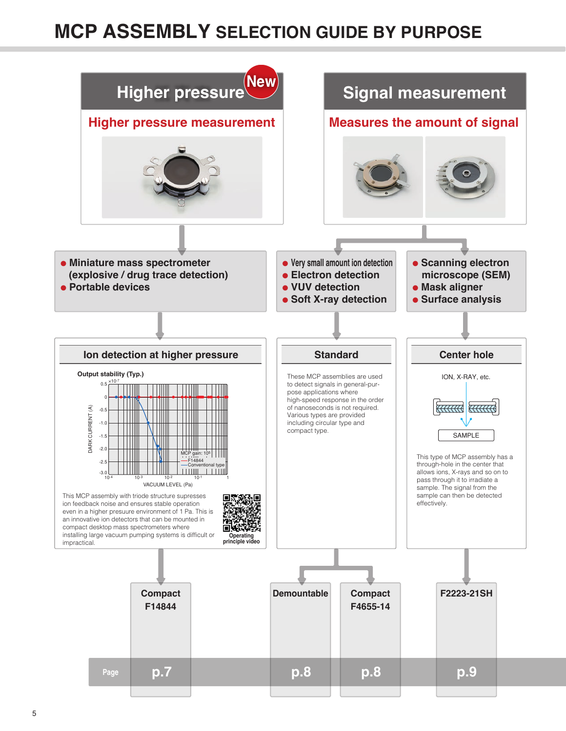## **MCP ASSEMBLY SELECTION GUIDE BY PURPOSE**

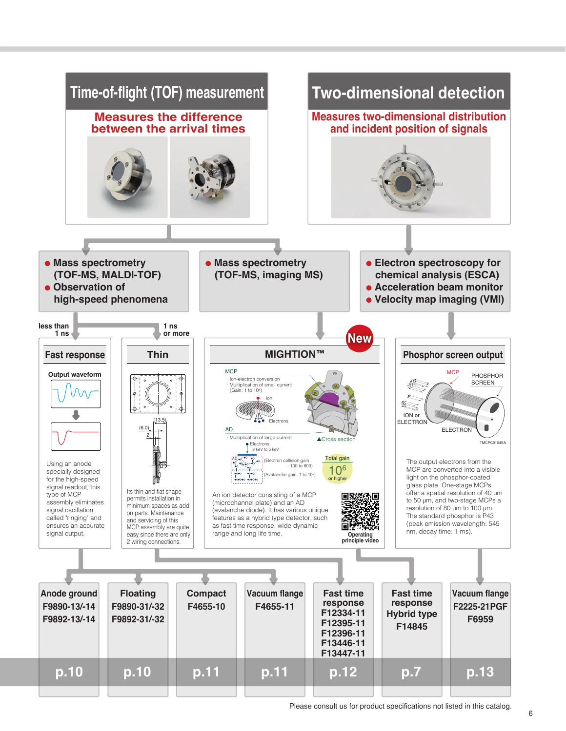

Please consult us for product specifications not listed in this catalog.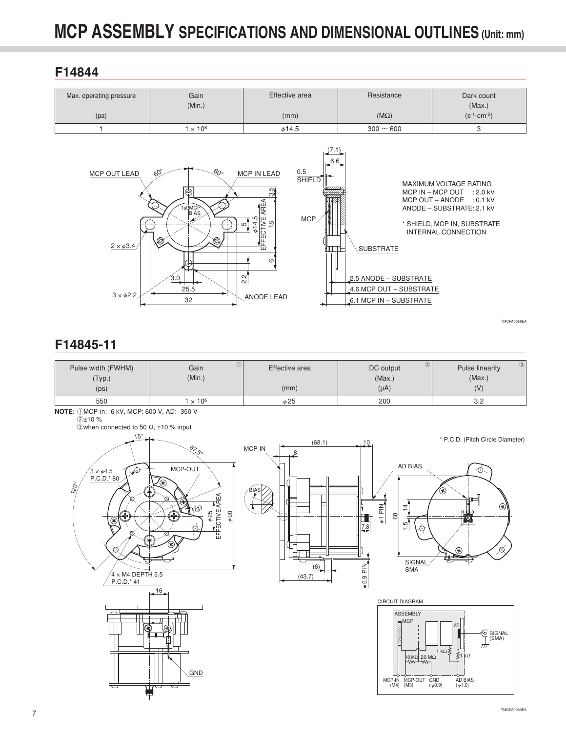## **F14844**

| Max. operating pressure | Gain<br>(Min.) | Effective area | Resistance     | Dark count<br>(Max.)           |
|-------------------------|----------------|----------------|----------------|--------------------------------|
| (pa)                    |                | (mm)           | $(M\Omega)$    | $(s^{-1}$ · cm <sup>-2</sup> ) |
|                         | $\times 10^6$  | $\phi$ 14.5    | $300 \sim 600$ |                                |



## **F14845-11**

| Pulse width (FWHM) | Gain                     | Effective area | 2)<br>DC output | 3)<br><b>Pulse linearity</b> |
|--------------------|--------------------------|----------------|-----------------|------------------------------|
| (Typ.)             | (Min.)                   |                | (Max.)          | (Max.)                       |
| (p s)              |                          | (mm)           | $(\mu A)$       | $\sqrt{}$                    |
| 550                | $\times$ 10 <sup>6</sup> | $\phi$ 25      | 200             | ے.ب                          |

**NOTE:** 1MCP-in: -6 kV, MCP: 600 V, AD: -350 V

2±10 %

3when connected to 50  $\Omega$ , ±10 % input



Ë



 $\phi$ 1 PIN



\* P.C.D. (Pitch Circle Diameter)

TMCPA0088EA

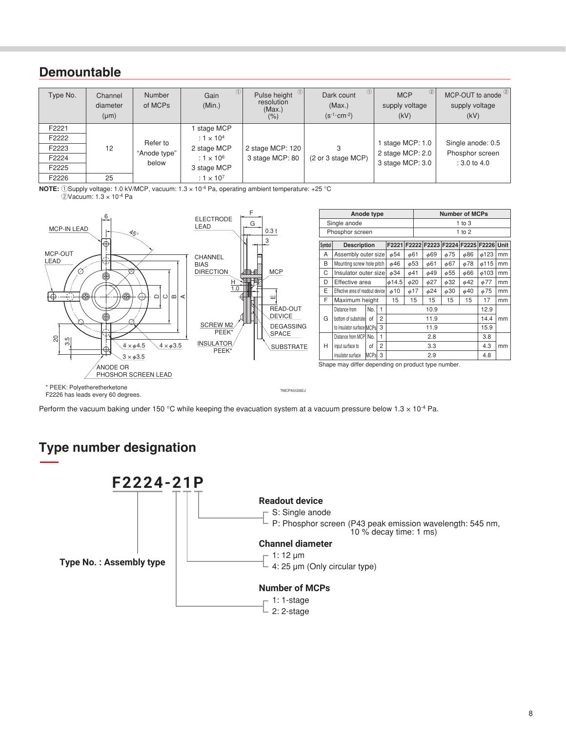## **Demountable**

| Type No. | Channel<br>diameter<br>$(\mu m)$ | <b>Number</b><br>of MCPs | ⋓<br>Gain<br>(Min.) | $\left  \right $<br>Pulse height<br>resolution<br>(Max.)<br>$(\% )$ | $\circled{1}$<br>Dark count<br>(Max.)<br>$(s^{-1}$ · cm <sup>-2</sup> ) | $\circled{2}$<br><b>MCP</b><br>supply voltage<br>(kV) | MCP-OUT to anode 2<br>supply voltage<br>(kV) |
|----------|----------------------------------|--------------------------|---------------------|---------------------------------------------------------------------|-------------------------------------------------------------------------|-------------------------------------------------------|----------------------------------------------|
| F2221    |                                  |                          | stage MCP           |                                                                     |                                                                         |                                                       |                                              |
| F2222    |                                  | Refer to                 | : $1 \times 10^4$   |                                                                     |                                                                         | stage MCP: 1.0                                        | Single anode: 0.5                            |
| F2223    | 12                               | "Anode type"             | 2 stage MCP         | 2 stage MCP: 120                                                    | 3                                                                       | 2 stage MCP: 2.0                                      | Phosphor screen                              |
| F2224    |                                  | below                    | : $1 \times 10^6$   | 3 stage MCP: 80                                                     | (2 or 3 stage MCP)                                                      | 3 stage MCP: 3.0                                      | $: 3.0 \text{ to } 4.0$                      |
| F2225    |                                  |                          | 3 stage MCP         |                                                                     |                                                                         |                                                       |                                              |
| F2226    | 25                               |                          | : $1 \times 10^7$   |                                                                     |                                                                         |                                                       |                                              |

**NOTE:** 1Supply voltage: 1.0 kV/MCP, vacuum: 1.3 x 10<sup>-4</sup> Pa, operating ambient temperature: +25 °C 2Vacuum: 1.3 × 10-4 Pa



Perform the vacuum baking under 150 °C while keeping the evacuation system at a vacuum pressure below  $1.3 \times 10^{-4}$  Pa.

## **Type number designation**

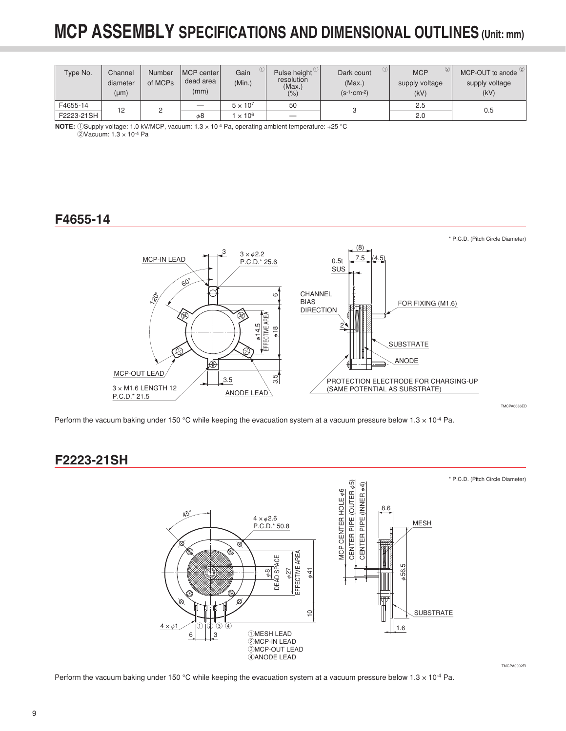| Type No.   | Channel<br>diameter<br>$(\mu m)$ | Number<br>of MCPs | MCP center<br>dead area<br>(mm) | Gain<br>(Min.)  | Pulse height $\vee$<br>resolution<br>(Max.)<br>(% ) | (1)<br>Dark count<br>(Max.)<br>$(s^{-1}$ · cm <sup>-2</sup> ) | (2)<br><b>MCP</b><br>supply voltage<br>(kV) | MCP-OUT to anode <sup>2</sup><br>supply voltage<br>(kV) |
|------------|----------------------------------|-------------------|---------------------------------|-----------------|-----------------------------------------------------|---------------------------------------------------------------|---------------------------------------------|---------------------------------------------------------|
| F4655-14   | 12                               |                   |                                 | $5 \times 10^7$ | 50                                                  |                                                               | 2.5                                         | 0.5                                                     |
| F2223-21SH |                                  |                   | φ8                              | $\times 10^6$   |                                                     |                                                               | 2.0                                         |                                                         |

**NOTE:** 1Supply voltage: 1.0 kV/MCP, vacuum: 1.3 x 10<sup>-4</sup> Pa, operating ambient temperature: +25 °C 2Vacuum: 1.3 × 10-4 Pa

## **F4655-14**



Perform the vacuum baking under 150 °C while keeping the evacuation system at a vacuum pressure below  $1.3 \times 10^{-4}$  Pa.

## **F2223-21SH**



Perform the vacuum baking under 150 °C while keeping the evacuation system at a vacuum pressure below  $1.3 \times 10^{-4}$  Pa.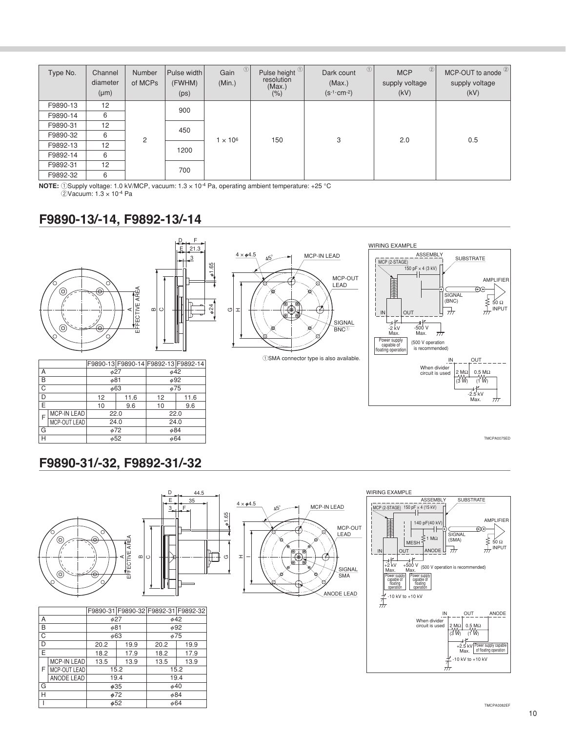| Type No. | Channel<br>diameter<br>$(\mu m)$ | Number<br>of MCPs | Pulse width<br>(FWHM)<br>(p <sub>S</sub> ) | $\circled{1}$<br>Gain<br>(Min.) | Pulse height <sup>1</sup><br>resolution<br>(Max.)<br>$(\% )$ | $\circled{1}$<br>Dark count<br>(Max.)<br>$(s^{-1}$ cm <sup>-2</sup> ) | $\circled{2}$<br><b>MCP</b><br>supply voltage<br>(kV) | MCP-OUT to anode <sup>2</sup><br>supply voltage<br>(kV) |
|----------|----------------------------------|-------------------|--------------------------------------------|---------------------------------|--------------------------------------------------------------|-----------------------------------------------------------------------|-------------------------------------------------------|---------------------------------------------------------|
| F9890-13 | 12                               |                   | 900                                        |                                 |                                                              |                                                                       |                                                       |                                                         |
| F9890-14 | 6                                |                   |                                            |                                 | 150                                                          |                                                                       |                                                       | 0.5                                                     |
| F9890-31 | 12                               |                   | 450                                        | $1 \times 10^6$                 |                                                              |                                                                       |                                                       |                                                         |
| F9890-32 | 6                                | 2                 |                                            |                                 |                                                              | 3                                                                     | 2.0                                                   |                                                         |
| F9892-13 | 12                               |                   | 1200                                       |                                 |                                                              |                                                                       |                                                       |                                                         |
| F9892-14 | 6                                |                   |                                            |                                 |                                                              |                                                                       |                                                       |                                                         |
| F9892-31 | 12                               |                   | 700                                        |                                 |                                                              |                                                                       |                                                       |                                                         |
| F9892-32 | 6                                |                   |                                            |                                 |                                                              |                                                                       |                                                       |                                                         |

**NOTE:** 1Supply voltage: 1.0 kV/MCP, vacuum:  $1.3 \times 10^{-4}$  Pa, operating ambient temperature: +25 °C

2Vacuum: 1.3 × 10-4 Pa

## **F9890-13/-14, F9892-13/-14**



|                         |                    |           |      | F9890-13 F9890-14 F9892-13 F9892-14 |      |  |
|-------------------------|--------------------|-----------|------|-------------------------------------|------|--|
| Α                       |                    | 627       |      | $\phi$ 42                           |      |  |
| B                       |                    | $\phi$ 81 |      | $\phi$ 92                           |      |  |
| $\overline{\mathrm{c}}$ |                    | $\phi$ 63 |      | $\phi$ 75                           |      |  |
| D                       |                    | 12        | 11.6 | 12                                  | 11.6 |  |
| E                       |                    | 10        | 9.6  | 10                                  | 9.6  |  |
| F                       | <b>MCP-IN LEAD</b> | 22.0      |      | 22.0                                |      |  |
|                         | MCP-OUT LEAD       | 24.0      |      | 24.0                                |      |  |
| G                       |                    | $\phi$ 72 |      | $\phi$ 84                           |      |  |
| Н                       |                    | $\phi$ 52 |      | $\phi$ 64                           |      |  |



1SMA connector type is also available.



TMCPA0075ED

## **F9890-31/-32, F9892-31/-32**



|   |                    |           |           | F9890-31 F9890-32 F9892-31 F9892-32 |           |  |
|---|--------------------|-----------|-----------|-------------------------------------|-----------|--|
| Α |                    | $\phi$ 27 |           | $\phi$ 42                           |           |  |
| B |                    | φ81       |           |                                     | $\phi$ 92 |  |
| C |                    | $\phi$ 63 |           | $\phi$ 75                           |           |  |
| D |                    | 20.2      | 19.9      | 20.2                                | 19.9      |  |
| Ē |                    | 18.2      | 17.9      | 18.2                                | 17.9      |  |
|   | <b>MCP-IN LEAD</b> | 13.5      | 13.9      | 13.5                                | 13.9      |  |
| F | MCP-OUT LEAD       |           | 15.2      |                                     | 15.2      |  |
|   | ANODE LEAD         |           | 19.4      |                                     | 19.4      |  |
| G |                    | $\phi$ 35 |           | $\phi$ 40                           |           |  |
| Н |                    |           | $\phi$ 72 | $\phi$ 84                           |           |  |
|   |                    |           | 652       | $\phi$ 64                           |           |  |

 $\circ$ 

D 44.5 E 35  $\frac{3}{2}$ 



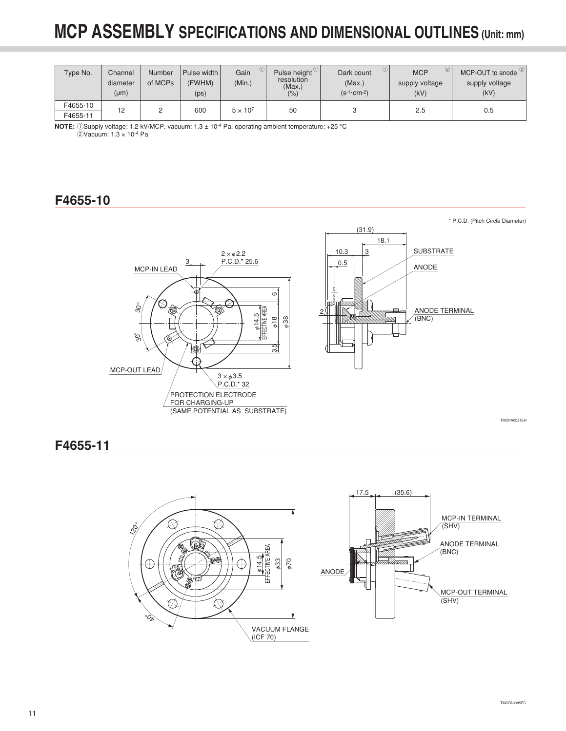| Type No.             | Channel<br>diameter<br>(µm) | Number<br>of MCPs | Pulse width<br>(FWHM)<br>(p <sub>S</sub> ) | Gain<br>(Min.)  | Pulse height U<br>resolution<br>(Max.)<br>(% ) | $\circled{1}$<br>Dark count<br>(Max.)<br>$(s^{-1}$ cm -2) | (2)<br><b>MCP</b><br>supply voltage<br>(kV) | MCP-OUT to anode <sup>2</sup><br>supply voltage<br>(kV) |
|----------------------|-----------------------------|-------------------|--------------------------------------------|-----------------|------------------------------------------------|-----------------------------------------------------------|---------------------------------------------|---------------------------------------------------------|
| F4655-10<br>F4655-11 | 12                          |                   | 600                                        | $5 \times 10^7$ | 50                                             |                                                           | 2.5                                         | 0.5                                                     |

**NOTE:** 1Supply voltage: 1.2 kV/MCP, vacuum: 1.3 ± 10<sup>-4</sup> Pa, operating ambient temperature: +25 °C 2Vacuum: 1.3 × 10-4 Pa

## **F4655-10**



## **F4655-11**

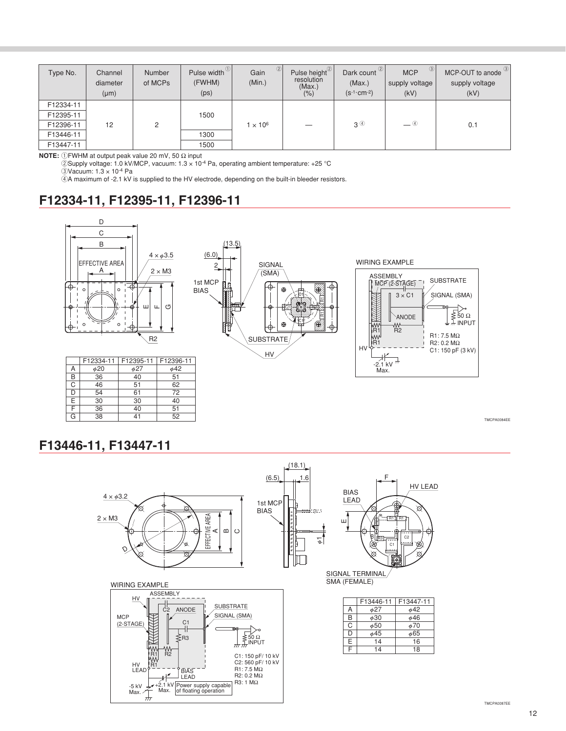| Type No.  | Channel<br>diameter<br>$(\mu m)$ | Number<br>of MCPs | Pulse width <sup>(1)</sup><br>(FWHM)<br>(ps) | $\circled{2}$<br>Gain<br>(Min.) | Pulse height <sup>2</sup><br>resolution<br>(Max.)<br>(% ) | Dark count <sup>2</sup><br>(Max.)<br>$(s^{-1}$ · cm <sup>-2</sup> ) | $\circled{3}$<br><b>MCP</b><br>supply voltage<br>(kV) | MCP-OUT to anode 3<br>supply voltage<br>(kV) |
|-----------|----------------------------------|-------------------|----------------------------------------------|---------------------------------|-----------------------------------------------------------|---------------------------------------------------------------------|-------------------------------------------------------|----------------------------------------------|
| F12334-11 |                                  |                   |                                              |                                 |                                                           |                                                                     |                                                       |                                              |
| F12395-11 |                                  |                   | 1500                                         |                                 |                                                           |                                                                     |                                                       |                                              |
| F12396-11 | 12                               | 2                 |                                              | $1 \times 10^6$                 |                                                           | 3 <sup>④</sup>                                                      | $\equiv$ 4                                            | 0.1                                          |
| F13446-11 |                                  |                   | 1300                                         |                                 |                                                           |                                                                     |                                                       |                                              |
| F13447-11 |                                  |                   | 1500                                         |                                 |                                                           |                                                                     |                                                       |                                              |

**NOTE:** 1FWHM at output peak value 20 mV, 50 Ω input

 $\overline{\textcircled{2}}$ Supply voltage: 1.0 kV/MCP, vacuum: 1.3 x 10<sup>-4</sup> Pa, operating ambient temperature: +25 °C

3Vacuum: 1.3 × 10-4 Pa

 $4$ A maximum of -2.1 kV is supplied to the HV electrode, depending on the built-in bleeder resistors.

## **F12334-11, F12395-11, F12396-11**



TMCPA0084EE

## **F13446-11, F13447-11**

41

52

38

 $\overline{G}$ 



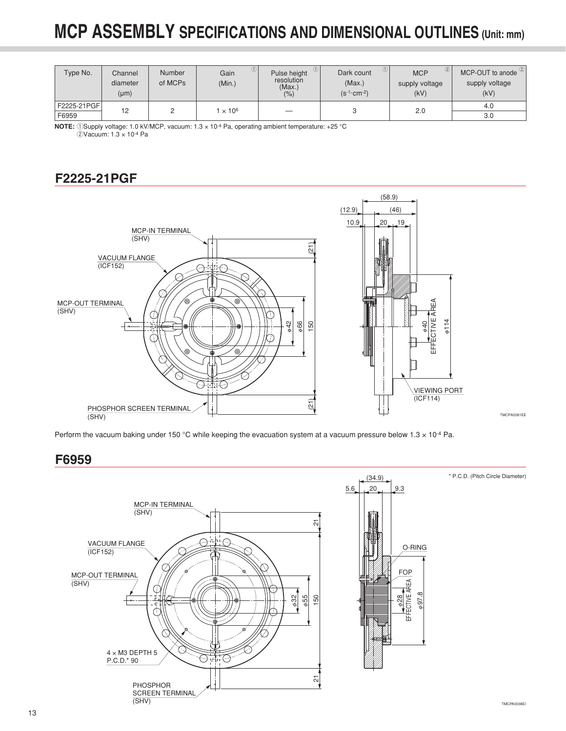| Type No.             | Channel<br>diameter<br>$(\mu m)$ | <b>Number</b><br>of MCPs | Gain<br>(Min.) | Pulse height<br>resolution<br>(Max.)<br>(% ) | $\circled{1}$<br>Dark count<br>(Max.)<br>$(s^{-1}$ cm -2) | ②<br><b>MCP</b><br>supply voltage<br>(kV) | MCP-OUT to anode <sup>2</sup><br>supply voltage<br>(kV) |
|----------------------|----------------------------------|--------------------------|----------------|----------------------------------------------|-----------------------------------------------------------|-------------------------------------------|---------------------------------------------------------|
| F2225-21PGF<br>F6959 | 12                               |                          | $\times 10^6$  |                                              |                                                           | 2.0                                       | 4.0<br>3.0                                              |

**NOTE:** 1Supply voltage: 1.0 kV/MCP, vacuum: 1.3 x 10<sup>-4</sup> Pa, operating ambient temperature: +25 °C 2Vacuum: 1.3 × 10-4 Pa

## **F2225-21PGF**



Perform the vacuum baking under 150 °C while keeping the evacuation system at a vacuum pressure below  $1.3 \times 10^{-4}$  Pa.

## **F6959**

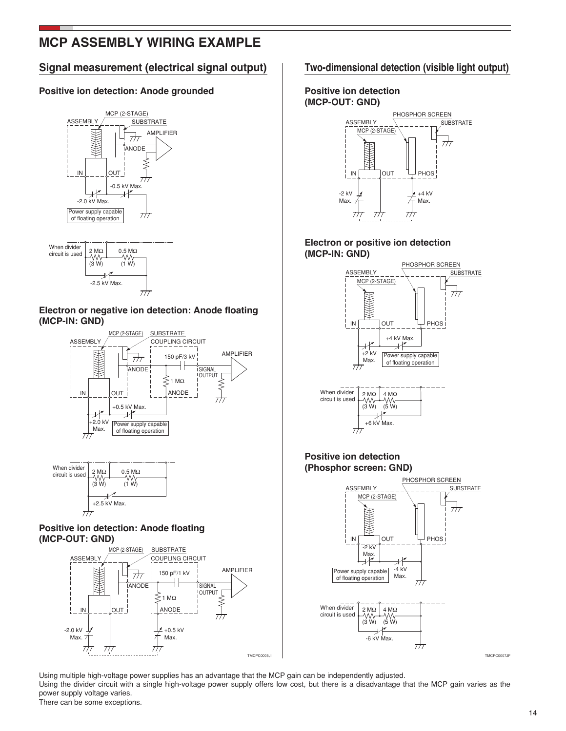## **MCP ASSEMBLY WIRING EXAMPLE**

### **Signal measurement (electrical signal output) Two-dimensional detection (visible light output)**

### **Positive ion detection: Anode grounded**





#### **Electron or negative ion detection: Anode floating (MCP-IN: GND)**





### **Positive ion detection: Anode floating (MCP-OUT: GND)**



#### **Positive ion detection (MCP-OUT: GND)**



#### **Electron or positive ion detection (MCP-IN: GND)**



#### **Positive ion detection (Phosphor screen: GND)**



Using multiple high-voltage power supplies has an advantage that the MCP gain can be independently adjusted.

Using the divider circuit with a single high-voltage power supply offers low cost, but there is a disadvantage that the MCP gain varies as the power supply voltage varies.

There can be some exceptions.